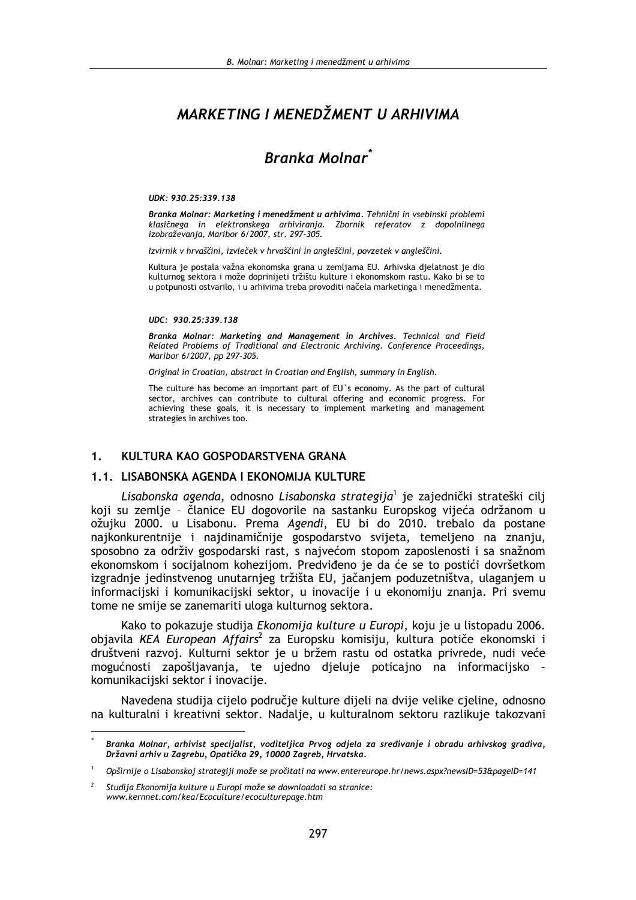# MARKETING I MENEDŽMENT II ARHIVIMA

# Branka Molnar<sup>\*</sup>

#### UDK: 930.25:339.138

Branka Molnar: Marketing i menedžment u arhivima. Tehnični in vsebinski problemi klasičnega in elektronskega arhiviranja. Zbornik referatov z dopolnilnega izobraževania, Maribor 6/2007, str. 297-305.

Izvirnik v hrvaščini, izvleček v hrvaščini in angleščini, povzetek v angleščini.

Kultura je postala važna ekonomska grana u zemljama EU. Arhivska djelatnost je dio kulturnog sektora i može doprinijeti tržištu kulture i ekonomskom rastu. Kako bi se to u potpunosti ostvarilo, i u arhivima treba provoditi načela marketinga i menedžmenta.

#### UDC: 930.25:339.138

Branka Molnar: Marketing and Management in Archives. Technical and Field Related Problems of Traditional and Electronic Archiving. Conference Proceedings, Maribor 6/2007, pp 297-305.

Original in Croatian, abstract in Croatian and English, summary in English.

The culture has become an important part of EU's economy. As the part of cultural sector, archives can contribute to cultural offering and economic progress. For achieving these goals, it is necessary to implement marketing and management strategies in archives too.

#### $1<sub>1</sub>$ KULTURA KAO GOSPODARSTVENA GRANA

#### 1.1. LISABONSKA AGENDA I EKONOMIJA KULTURE

Lisabonska agenda, odnosno Lisabonska strategija<sup>1</sup> je zajednički strateški cilj koji su zemlje - članice EU dogovorile na sastanku Europskog vijeća održanom u ožujku 2000. u Lisabonu. Prema Agendi, EU bi do 2010. trebalo da postane najkonkurentnije i najdinamičnije gospodarstvo svijeta, temeljeno na znanju, sposobno za održiv gospodarski rast, s najvećom stopom zaposlenosti i sa snažnom ekonomskom i socijalnom kohezijom. Predviđeno je da će se to postići dovršetkom izgradnje jedinstvenog unutarnjeg tržišta EU, jačanjem poduzetništva, ulaganjem u informacijski i komunikacijski sektor, u inovacije i u ekonomiju znanja. Pri svemu tome ne smije se zanemariti uloga kulturnog sektora.

Kako to pokazuje studija Ekonomija kulture u Europi, koju je u listopadu 2006. objavila KEA European Affairs<sup>2</sup> za Europsku komisiju, kultura potiče ekonomski i društveni razvoj. Kulturni sektor je u bržem rastu od ostatka privrede, nudi veće mogućnosti zapošljavanja, te ujedno djeluje poticajno na informacijsko komunikacijski sektor i inovacije.

Navedena studija cijelo područje kulture dijeli na dvije velike cjeline, odnosno na kulturalni i kreativni sektor. Nadalje, u kulturalnom sektoru razlikuje takozvani

Branka Molnar, arhivist specijalist, voditeljica Prvog odjela za sređivanje i obradu arhivskog gradiva,<br>Državni arhiv u Zagrebu, Opatička 29, 10000 Zagreb, Hrvatska.

Opširnije o Lisabonskoj strategiji može se pročitati na www.entereurope.hr/news.aspx?newsID=53&pageID=141

Studija Ekonomija kulture u Europi može se downloadati sa stranice: www.kernnet.com/kea/Ecoculture/ecoculturepage.htm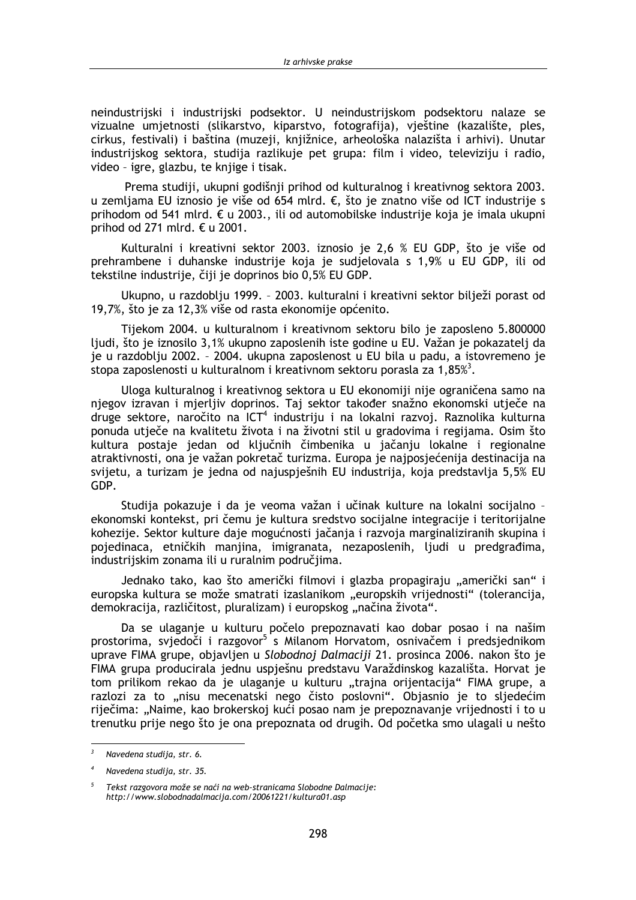neindustrijski i industrijski podsektor. U neindustrijskom podsektoru nalaze se vizualne umietnosti (slikarstvo, kiparstvo, fotografija), vještine (kazalište, ples, cirkus, festivali) i baština (muzeji, knjižnice, arheološka nalazišta i arhivi). Unutar industrijskog sektora, studija razlikuje pet grupa: film i video, televiziju i radio, video - igre, glazbu, te knjige i tisak.

Prema studiji, ukupni godišnji prihod od kulturalnog i kreativnog sektora 2003. u zemljama EU iznosio je više od 654 mlrd. €, što je znatno više od ICT industrije s prihodom od 541 mlrd. € u 2003., ili od automobilske industrije koja je imala ukupni prihod od 271 mlrd. € u 2001.

Kulturalni i kreativni sektor 2003. iznosio je 2,6 % EU GDP, što je više od prehrambene i duhanske industrije koja je sudjelovala s 1,9% u EU GDP, ili od tekstilne industrije, čiji je doprinos bio 0,5% EU GDP.

Ukupno, u razdoblju 1999. - 2003. kulturalni i kreativni sektor bilježi porast od 19,7%, što je za 12,3% više od rasta ekonomije općenito.

Tijekom 2004. u kulturalnom i kreativnom sektoru bilo je zaposleno 5.800000 ljudi, što je iznosilo 3,1% ukupno zaposlenih iste godine u EU. Važan je pokazatelj da je u razdoblju 2002. - 2004. ukupna zaposlenost u EU bila u padu, a istovremeno je stopa zaposlenosti u kulturalnom i kreativnom sektoru porasla za 1,85%<sup>3</sup>.

Uloga kulturalnog i kreativnog sektora u EU ekonomiji nije ograničena samo na njegov izravan i mjerljiv doprinos. Taj sektor također snažno ekonomski utječe na druge sektore, naročito na ICT<sup>4</sup> industriju i na lokalni razvoj. Raznolika kulturna ponuda utječe na kvalitetu života i na životni stil u gradovima i regijama. Osim što kultura postaje jedan od ključnih čimbenika u jačanju lokalne i regionalne atraktivnosti, ona je važan pokretač turizma. Europa je najposjećenija destinacija na svijetu, a turizam je jedna od najuspješnih EU industrija, koja predstavlja 5,5% EU GDP.

Studija pokazuje i da je veoma važan i učinak kulture na lokalni socijalno ekonomski kontekst, pri čemu je kultura sredstvo socijalne integracije i teritorijalne kohezije. Sektor kulture daje mogućnosti jačanja i razvoja marginaliziranih skupina i pojedinaca, etničkih manjina, imigranata, nezaposlenih, ljudi u predgrađima, industrijskim zonama ili u ruralnim područjima.

Jednako tako, kao što američki filmovi i glazba propagiraju "američki san" i europska kultura se može smatrati izaslanikom "europskih vrijednosti" (tolerancija, demokracija, različitost, pluralizam) i europskog "načina života".

Da se ulaganje u kulturu počelo prepoznavati kao dobar posao i na našim prostorima, svjedoči i razgovor<sup>5</sup> s Milanom Horvatom, osnivačem i predsjednikom uprave FIMA grupe, objavljen u Slobodnoj Dalmaciji 21. prosinca 2006. nakon što je FIMA grupa producirala jednu uspješnu predstavu Varaždinskog kazališta. Horvat je tom prilikom rekao da je ulaganje u kulturu "trajna orijentacija" FIMA grupe, a razlozi za to "nisu mecenatski nego čisto poslovni". Objasnio je to sljedećim riječima: "Naime, kao brokerskoj kući posao nam je prepoznavanje vrijednosti i to u trenutku prije nego što je ona prepoznata od drugih. Od početka smo ulagali u nešto

 $\overline{3}$ Navedena studija, str. 6.

Navedena studija, str. 35.

Tekst razgovora može se naći na web-stranicama Slobodne Dalmacije: http://www.slobodnadalmacija.com/20061221/kultura01.asp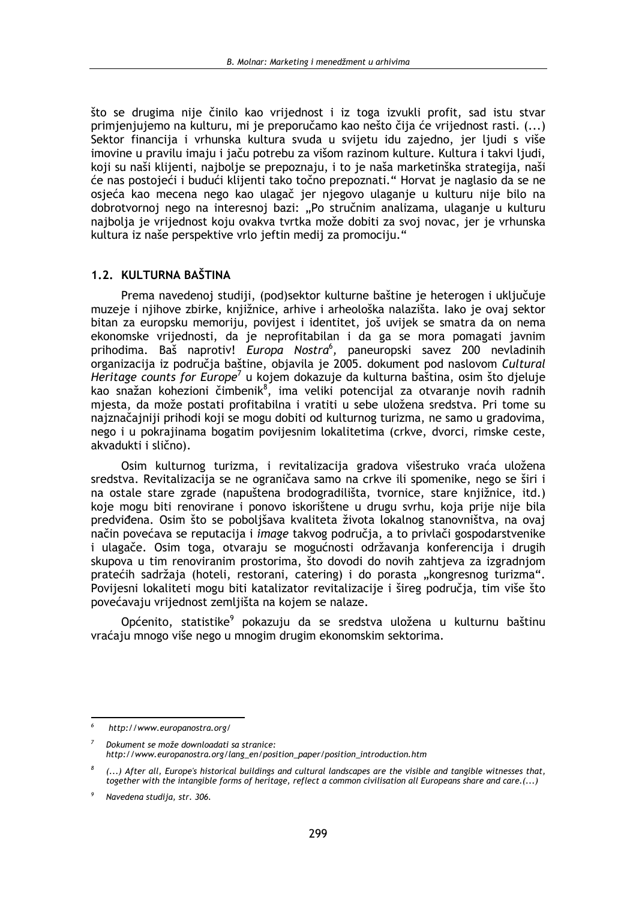što se drugima nije činilo kao vrijednost i iz toga izvukli profit, sad istu stvar primieniujemo na kulturu, mi je preporučamo kao nešto čija će vrijednost rasti. (...) Sektor financija i vrhunska kultura svuda u svijetu idu zajedno, jer ljudi s više imovine u pravilu imaju i jaču potrebu za višom razinom kulture. Kultura i takvi ljudi, koji su naši klijenti, najbolje se prepoznaju, i to je naša marketinška strategija, naši će nas postojeći i budući klijenti tako točno prepoznati." Horvat je naglasio da se ne osjeća kao mecena nego kao ulagač jer njegovo ulaganje u kulturu nije bilo na dobrotvornoj nego na interesnoj bazi: "Po stručnim analizama, ulaganje u kulturu najbolja je vrijednost koju ovakva tvrtka može dobiti za svoj novac, jer je vrhunska kultura iz naše perspektive vrlo jeftin medij za promociju."

## 1.2. KULTURNA BAŠTINA

Prema navedenoj studiji, (pod) sektor kulturne baštine je heterogen i uključuje muzeje i njihove zbirke, knjižnice, arhive i arheološka nalazišta. Iako je ovaj sektor bitan za europsku memoriju, povijest i identitet, još uvijek se smatra da on nema ekonomske vrijednosti, da je neprofitabilan i da ga se mora pomagati javnim prihodima. Baš naprotiv! Europa Nostra<sup>6</sup>, paneuropski savez 200 nevladinih organizacija iz područja baštine, objavila je 2005. dokument pod naslovom Cultural Heritage counts for Europe<sup>7</sup> u kojem dokazuje da kulturna baština, osim što djeluje kao snažan kohezioni čimbenik<sup>8</sup>, ima veliki potencijal za otvaranje novih radnih miesta, da može postati profitabilna i vratiti u sebe uložena sredstva. Pri tome su najznačajniji prihodi koji se mogu dobiti od kulturnog turizma, ne samo u gradovima, nego i u pokrajinama bogatim povijesnim lokalitetima (crkve, dvorci, rimske ceste, akvadukti i slično).

Osim kulturnog turizma, i revitalizacija gradova višestruko vraća uložena sredstva. Revitalizacija se ne ograničava samo na crkve ili spomenike, nego se širi i na ostale stare zgrade (napuštena brodogradilišta, tvornice, stare knjižnice, itd.) koje mogu biti renovirane i ponovo iskorištene u drugu svrhu, koja prije nije bila predviđena. Osim što se poboljšava kvaliteta života lokalnog stanovništva, na ovaj način povećava se reputacija i *image* takvog područja, a to privlači gospodarstvenike i ulagače. Osim toga, otvaraju se mogućnosti održavanja konferencija i drugih skupova u tim renoviranim prostorima, što dovodi do novih zahtieva za izgradniom pratećih sadržaja (hoteli, restorani, catering) i do porasta "kongresnog turizma". Povijesni lokaliteti mogu biti katalizator revitalizacije i šireg područja, tim više što povećavaju vrijednost zemljišta na kojem se nalaze.

Općenito, statistike<sup>9</sup> pokazuju da se sredstva uložena u kulturnu baštinu vraćaju mnogo više nego u mnogim drugim ekonomskim sektorima.

http://www.europanostra.org/

Dokument se može downloadati sa stranice: http://www.europanostra.org/lang\_en/position\_paper/position\_introduction.htm

<sup>(...)</sup> After all, Europe's historical buildings and cultural landscapes are the visible and tangible witnesses that, together with the intangible forms of heritage, reflect a common civilisation all Europeans share and care.(...)

Navedena studija, str. 306.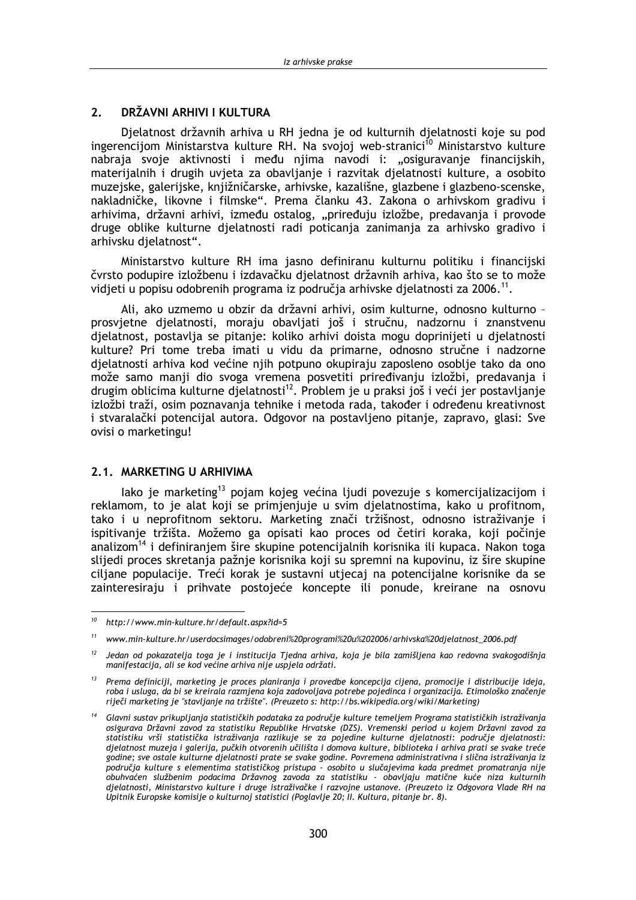#### DRŽAVNI ARHIVI I KULTURA  $2<sub>1</sub>$

Dielatnost državnih arhiva u RH jedna je od kulturnih djelatnosti koje su pod ingerencijom Ministarstva kulture RH. Na svojoj web-stranici<sup>10</sup> Ministarstvo kulture nabraja svoje aktivnosti i među njima navodi i: "osiguravanje financijskih, materijalnih i drugih uvieta za obavljanje i razvitak djelatnosti kulture, a osobito muzejske, galerijske, knjižničarske, arhivske, kazališne, glazbene i glazbeno-scenske, nakladničke, likovne i filmske". Prema članku 43. Zakona o arhivskom gradivu i arhivima, državni arhivi, između ostalog, "priređuju izložbe, predavanja i provode druge oblike kulturne djelatnosti radi poticanja zanimanja za arhivsko gradivo i arhivsku djelatnost".

Ministarstvo kulture RH ima jasno definiranu kulturnu politiku i financijski čvrsto podupire izložbenu i izdavačku djelatnost državnih arhiva, kao što se to može vidjeti u popisu odobrenih programa iz područja arhivske djelatnosti za 2006.<sup>11</sup>.

Ali, ako uzmemo u obzir da državni arhivi, osim kulturne, odnosno kulturno prosvietne dielatnosti, moraju obavljati još i stručnu, nadzornu i znanstvenu dielatnost, postavlia se pitanje: koliko arhivi doista mogu doprinijeti u dielatnosti kulture? Pri tome treba imati u vidu da primarne, odnosno stručne i nadzorne dielatnosti arhiva kod većine njih potpuno okupiraju zaposleno osoblje tako da ono može samo manji dio svoga vremena posvetiti priređivanju izložbi, predavanja i drugim oblicima kulturne djelatnosti<sup>12</sup>. Problem je u praksi još i veći jer postavljanje izložbi traži, osim poznavanja tehnike i metoda rada, također i određenu kreativnost i stvaralački potencijal autora. Odgovor na postavljeno pitanje, zapravo, glasi: Sve ovisi o marketingu!

## 2.1. MARKETING U ARHIVIMA

lako je marketing<sup>13</sup> pojam kojeg većina ljudi povezuje s komercijalizacijom i reklamom, to je alat koji se primjenjuje u svim djelatnostima, kako u profitnom, tako i u neprofitnom sektoru. Marketing znači tržišnost, odnosno istraživanie i ispitivanie tržišta. Možemo ga opisati kao proces od četiri koraka, koji počinie analizom<sup>14</sup> i definiranjem šire skupine potencijalnih korisnika ili kupaca. Nakon toga slijedi proces skretanja pažnje korisnika koji su spremni na kupovinu, iz šire skupine ciliane populacije. Treći korak je sustavni utjecaj na potencijalne korisnike da se zainteresiraju i prihvate postojeće koncepte ili ponude, kreirane na osnovu

<sup>10</sup> http://www.min-kulture.hr/default.aspx?id=5

 $11\,$ www.min-kulture.hr/userdocsimages/odobreni%20programi%20u%202006/arhivska%20djelatnost 2006.pdf

 $12$ Jedan od pokazatelja toga je i institucija Tjedna arhiva, koja je bila zamišljena kao redovna svakogodišnja manifestacija, ali se kod većine arhiva nije uspjela održati.

<sup>&</sup>lt;sup>13</sup> Prema definiciji, marketing je proces planiranja i provedbe koncepcija cijena, promocije i distribucije ideja, roba i usluga, da bi se kreirala razmjena koja zadovoljava potrebe pojedinca i organizacija. Etimološko značenje riječi marketing je "stavljanje na tržište". (Preuzeto s: http://bs.wikipedia.org/wiki/Marketing)

<sup>&</sup>lt;sup>14</sup> Glavni sustav prikupliania statističkih podataka za područie kulture temeliem Programa statističkih istraživania osigurava Državni zavod za statistiku Republike Hrvatske (DZS). Vremenski period u kojem Državni zavod za statistiku vrši statistička istraživanja razlikuje se za pojedine kulturne djelatnosti: područje djelatnosti: djelatnost muzeja i galerija, pučkih otvorenih učilišta i domova kulture, biblioteka i arhiva prati se svake treće godine; sve ostale kulturne djelatnosti prate se svake godine. Povremena administrativna i slična istraživanja iz područja kulture s elementima statističkog pristupa - osobito u slučajevima kada predmet promatranja nije obuhvaćen službenim podacima Državnog zavoda za statistiku - obavljaju matične kuće niza kulturnih djelatnosti, Ministarstvo kulture i druge istraživačke i razvojne ustanove. (Preuzeto iz Odgovora Vlade RH na Upitnik Europske komisije o kulturnoj statistici (Poglavlje 20; II. Kultura, pitanje br. 8).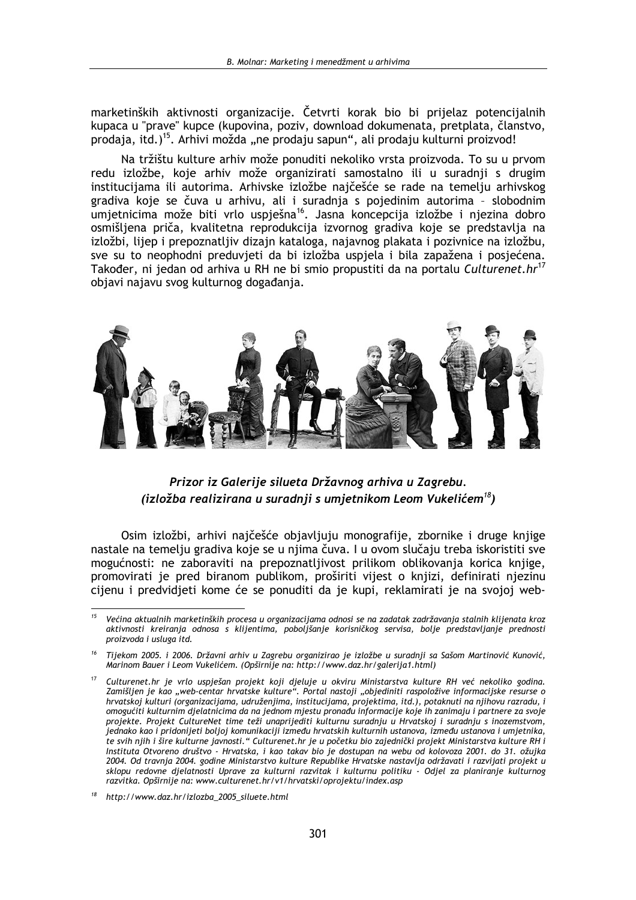marketinških aktivnosti organizacije. Četvrti korak bio bi prijelaz potencijalnih kupaca u "prave" kupce (kupovina, poziv, download dokumenata, pretplata, članstvo, prodaja, itd.)<sup>15</sup>. Arhivi možda "ne prodaju sapun", ali prodaju kulturni proizvod!

Na tržištu kulture arhiv može ponuditi nekoliko vrsta proizvoda. To su u prvom redu izložbe, koje arhiv može organizirati samostalno ili u suradnji s drugim institucijama ili autorima. Arhivske izložbe najčešće se rade na temelju arhivskog gradiva koje se čuva u arhivu, ali i suradnja s pojedinim autorima - slobodnim umjetnicima može biti vrlo uspješna<sup>16</sup>. Jasna koncepcija izložbe i njezina dobro osmišljena priča, kvalitetna reprodukcija izvornog gradiva koje se predstavlja na izložbi, lijep i prepoznatljiv dizajn kataloga, najavnog plakata i pozivnice na izložbu, sve su to neophodni preduvjeti da bi izložba uspjela i bila zapažena i posjećena. Također, ni jedan od arhiva u RH ne bi smio propustiti da na portalu Culturenet.hr<sup>17</sup> objavi najavu svog kulturnog događanja.



Prizor iz Galerije silueta Državnog arhiva u Zagrebu. (izložba realizirana u suradnji s umjetnikom Leom Vukelićem $^{18}$ )

Osim izložbi, arhivi najčešće objavljuju monografije, zbornike i druge knjige nastale na temelju gradiva koje se u njima čuva. I u ovom slučaju treba iskoristiti sve mogućnosti: ne zaboraviti na prepoznatljivost prilikom oblikovanja korica knjige, promovirati je pred biranom publikom, proširiti vijest o knjizi, definirati njezinu cijenu i predvidjeti kome će se ponuditi da je kupi, reklamirati je na svojoj web-

Većina aktualnih marketinških procesa u organizacijama odnosi se na zadatak zadržavanja stalnih klijenata kroz aktivnosti kreiranja odnosa s klijentima, poboljšanje korisničkog servisa, bolje predstavljanje prednosti proizvoda i usluga itd.

 $16$ Tijekom 2005. i 2006. Državni arhiv u Zagrebu organizirao je izložbe u suradnji sa Sašom Martinović Kunović, Marinom Bauer i Leom Vukelićem. (Opširnije na: http://www.daz.hr/galerija1.html)

Culturenet.hr je vrlo uspješan projekt koji djeluje u okviru Ministarstva kulture RH već nekoliko godina. Zamišljen je kao "web-centar hrvatske kulture". Portal nastoji "objediniti raspoložive informacijske resurse o hrvatskoj kulturi (organizacijama, udruženjima, institucijama, projektima, itd.), potaknuti na njihovu razradu, i omogućiti kulturnim dielatnicima da na jednom mjestu pronađu informacije koje ih zanimaju i partnere za svoje projekte. Projekt CultureNet time teži unaprijediti kulturnu suradnju u Hrvatskoj i suradnju s inozemstvom, jednako kao i pridonijeti boljoj komunikaciji između hrvatskih kulturnih ustanova, između ustanova i umjetnika, .<br>te svih njih i šire kulturne javnosti." Culturenet.hr je u početku bio zajednički projekt Ministarstva kulture RH i Instituta Otvoreno društvo - Hrvatska, i kao takav bio je dostupan na webu od kolovoza 2001. do 31. ožujka 2004. Od travnja 2004. godine Ministarstvo kulture Republike Hrvatske nastavlja održavati i razvijati projekt u sklopu redovne djelatnosti Uprave za kulturni razvitak i kulturnu politiku - Odjel za planiranje kulturnog razvitka. Opširnije na: www.culturenet.hr/v1/hrvatski/oprojektu/index.asp

http://www.daz.hr/izlozba\_2005\_siluete.html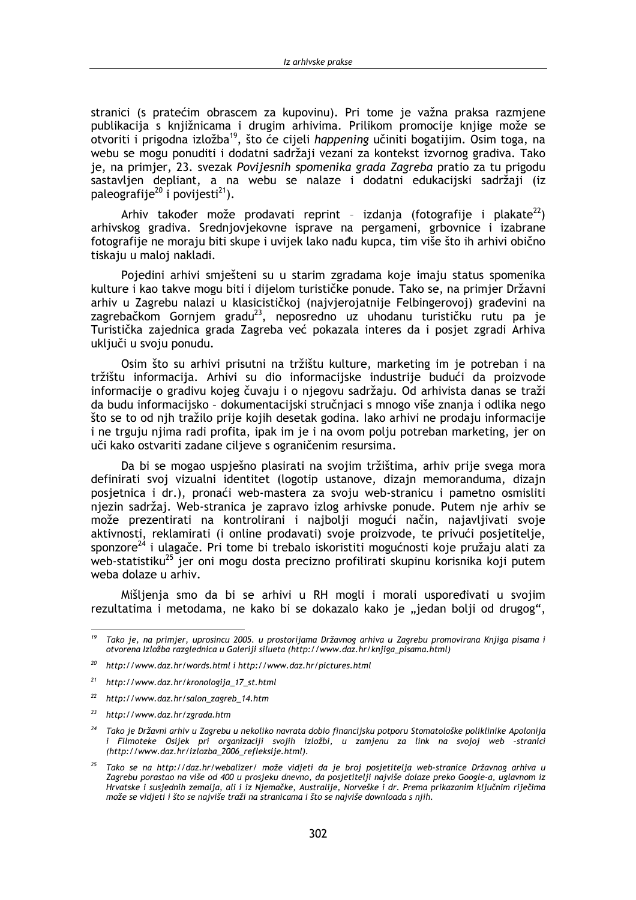stranici (s pratećim obrascem za kupovinu). Pri tome je važna praksa razmiene publikacija s kniižnicama i drugim arhivima. Prilikom promocije knijge može se otvoriti i prigodna izložba<sup>19</sup>, što će cijeli happening učiniti bogatijim. Osim toga, na webu se mogu ponuditi i dodatni sadržaji vezani za kontekst izvornog gradiva. Tako ie, na primjer, 23. svezak Povijesnih spomenika grada Zagreba pratio za tu prigodu sastavljen depliant, a na webu se nalaze i dodatni edukacijski sadržaji (iz paleografije<sup>20</sup> i povijesti<sup>21</sup>).

Arhiv također može prodavati reprint - izdanja (fotografije i plakate $^{22}$ ) arhivskog gradiva. Srednjovjekovne isprave na pergameni, grbovnice i izabrane fotografije ne moraju biti skupe i uvijek lako nađu kupca, tim više što ih arhivi obično tiskaju u maloj nakladi.

Pojedini arhivi smješteni su u starim zgradama koje imaju status spomenika kulture i kao takve mogu biti i dijelom turističke ponude. Tako se, na primjer Državni arhiv u Zagrebu nalazi u klasicističkoj (najvierojatnije Felbingerovoj) građevini na zagrebačkom Gornjem gradu<sup>23</sup>, neposredno uz uhodanu turističku rutu pa je Turistička zajednica grada Zagreba već pokazala interes da i posjet zgradi Arhiva uključi u svoju ponudu.

Osim što su arhivi prisutni na tržištu kulture, marketing im je potreban i na tržištu informacija. Arhivi su dio informacijske industrije budući da proizvode informacije o gradivu kojeg čuvaju i o njegovu sadržaju. Od arhivista danas se traži da budu informacijsko - dokumentacijski stručnjaci s mnogo više znanja i odlika nego što se to od njh tražilo prije kojih desetak godina. Iako arhivi ne prodaju informacije i ne trguju njima radi profita, ipak im je i na ovom polju potreban marketing, jer on uči kako ostvariti zadane ciljeve s ograničenim resursima.

Da bi se mogao uspiešno plasirati na svojim tržištima, arhiv prije svega mora definirati svoj vizualni identitet (logotip ustanove, dizajn memoranduma, dizajn posjetnica i dr.), pronaći web-mastera za svoju web-stranicu i pametno osmisliti niezin sadržaj. Web-stranica je zapravo izlog arhivske ponude. Putem nie arhiv se može prezentirati na kontrolirani i najbolji mogući način, najavljivati svoje aktivnosti, reklamirati (i online prodavati) svoje proizvode, te privući posietitelje. sponzore<sup>24</sup> i ulagače. Pri tome bi trebalo iskoristiti mogućnosti koje pružaju alati za web-statistiku<sup>25</sup> jer oni mogu dosta precizno profilirati skupinu korisnika koji putem weba dolaze u arhiv.

Mišljenja smo da bi se arhivi u RH mogli i morali uspoređivati u svojim rezultatima i metodama, ne kako bi se dokazalo kako je "jedan bolji od drugog",

 $19$ Tako je, na primjer, uprosincu 2005. u prostorijama Državnog arhiva u Zagrebu promovirana Knjiga pisama i otvorena Izložba razglednica u Galeriji silueta (http://www.daz.hr/knjiga\_pisama.html)

<sup>20</sup> http://www.daz.hr/words.html i http://www.daz.hr/pictures.html

 $21$ http://www.daz.hr/kronologija 17 st.html

<sup>&</sup>lt;sup>22</sup> http://www.daz.hr/salon\_zagreb\_14.htm

 $23$ http://www.daz.hr/zgrada.htm

<sup>&</sup>lt;sup>24</sup> Tako je Državni arhiv u Zagrebu u nekoliko navrata dobio financijsku potporu Stomatološke poliklinike Apolonija i Filmoteke Osijek pri organizaciji svojih izložbi, u zamjenu za link na svojoj web -stranici<br>(http://www.daz.hr/izlozba\_2006\_refleksije.html).

<sup>&</sup>lt;sup>25</sup> Tako se na http://daz.hr/webalizer/ može vidjeti da je broj posjetitelja web-stranice Državnog arhiva u Zagrebu porastao na više od 400 u prosjeku dnevno, da posjetitelji najviše dolaze preko Google-a, uglavnom iz Hrvatske i susjednih zemalja, ali i iz Njemačke, Australije, Norveške i dr. Prema prikazanim ključnim riječima može se vidjeti i što se najviše traži na stranicama i što se najviše downloada s njih.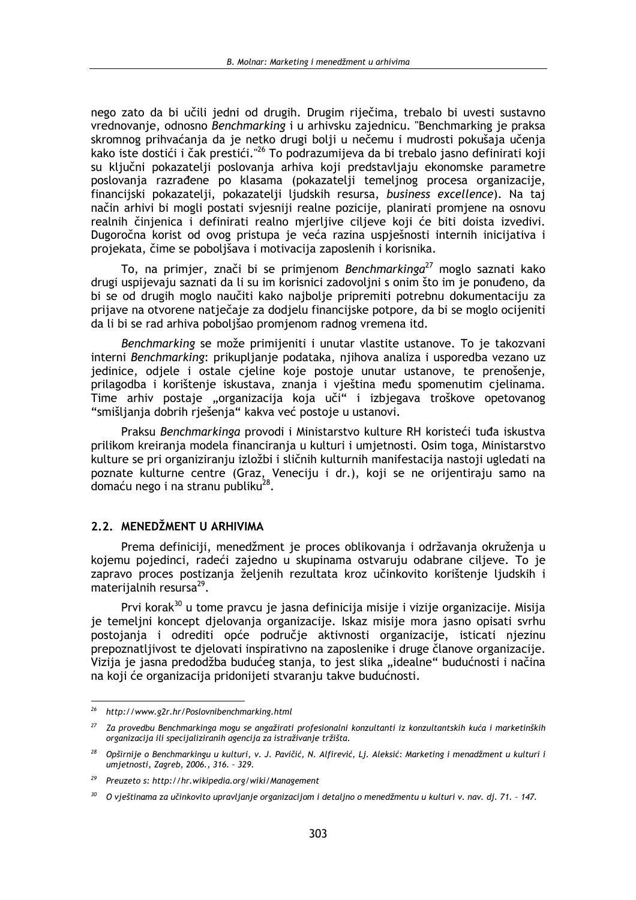nego zato da bi učili jedni od drugih. Drugim riječima, trebalo bi uvesti sustavno vrednovanie, odnosno Benchmarking i u arhivsku zajednicu. "Benchmarking je praksa skromnog prihvaćanja da je netko drugi bolji u nečemu i mudrosti pokušaja učenja kako iste dostići i čak prestići."<sup>26</sup> To podrazumijeva da bi trebalo jasno definirati koji su ključni pokazatelji poslovanja arhiva koji predstavljaju ekonomske parametre poslovanja razrađene po klasama (pokazatelji temeljnog procesa organizacije, financijski pokazatelji, pokazatelji ljudskih resursa, business excellence). Na taj način arhivi bi mogli postati svjesniji realne pozicije, planirati promjene na osnovu realnih činjenica i definirati realno mjerljive ciljeve koji će biti doista izvedivi. Dugoročna korist od ovog pristupa je veća razina uspješnosti internih inicijativa i projekata, čime se poboljšava i motivacija zaposlenih i korisnika.

To, na primjer, znači bi se primjenom Benchmarkinga<sup>27</sup> moglo saznati kako drugi uspijevaju saznati da li su im korisnici zadovoljni s onim što im je ponuđeno, da bi se od drugih moglo naučiti kako najbolje pripremiti potrebnu dokumentaciju za prijave na otvorene natječaje za dodjelu financijske potpore, da bi se moglo ocijeniti da li bi se rad arhiva pobolišao promjenom radnog vremena itd.

Benchmarking se može primijeniti i unutar vlastite ustanove. To je takozvani interni Benchmarking: prikuplianje podataka, njihova analiza i usporedba vezano uz jedinice, odjele i ostale cjeline koje postoje unutar ustanove, te prenošenje, prilagodba i korištenje iskustava, znanja i vještina među spomenutim cjelinama. Time arhiv postaje "organizacija koja uči" i izbjegava troškove opetovanog "smišljanja dobrih rješenja" kakva već postoje u ustanovi.

Praksu Benchmarkinga provodi i Ministarstvo kulture RH koristeći tuđa iskustva prilikom kreiranja modela financiranja u kulturi i umjetnosti. Osim toga, Ministarstvo kulture se pri organiziranju izložbi i sličnih kulturnih manifestacija nastoji ugledati na poznate kulturne centre (Graz, Veneciju i dr.), koji se ne orijentiraju samo na domaću nego i na stranu publiku<sup>28</sup>. domaću nego i na stranu publiku<sup>2</sup>

## 2.2. MENEDŽMENT U ARHIVIMA

Prema definiciji, menedžment je proces oblikovanja i održavanja okruženja u kojemu pojedinci, radeći zajedno u skupinama ostvaruju odabrane ciljeve. To je zapravo proces postizanja željenih rezultata kroz učinkovito korištenje ljudskih i materijalnih resursa<sup>29</sup>.

Prvi korak<sup>30</sup> u tome pravcu je jasna definicija misije i vizije organizacije. Misija je temeljni koncept djelovanja organizacije. Iskaz misije mora jasno opisati svrhu postojanja i odrediti opće područje aktivnosti organizacije, isticati njezinu prepoznatljivost te djelovati inspirativno na zaposlenike i druge članove organizacije. Vizija je jasna predodžba budućeg stanja, to jest slika "idealne" budućnosti i načina na koji će organizacija pridonijeti stvaranju takve budućnosti.

<sup>&</sup>lt;sup>26</sup> http://www.g2r.hr/Poslovnibenchmarking.html

Za provedbu Benchmarkinga mogu se angažirati profesionalni konzultanti iz konzultantskih kuća i marketinških organizacija ili specijaliziranih agencija za istraživanje tržišta.

<sup>&</sup>lt;sup>28</sup> Opširnije o Benchmarkingu u kulturi, v. J. Pavičić, N. Alfirević, Lj. Aleksić: Marketing i menadžment u kulturi i umjetnosti, Zagreb, 2006., 316. - 329.

Preuzeto s: http://hr.wikipedia.org/wiki/Management 29

O vještinama za učinkovito upravljanje organizacijom i detaljno o menedžmentu u kulturi v. nav. dj. 71. - 147.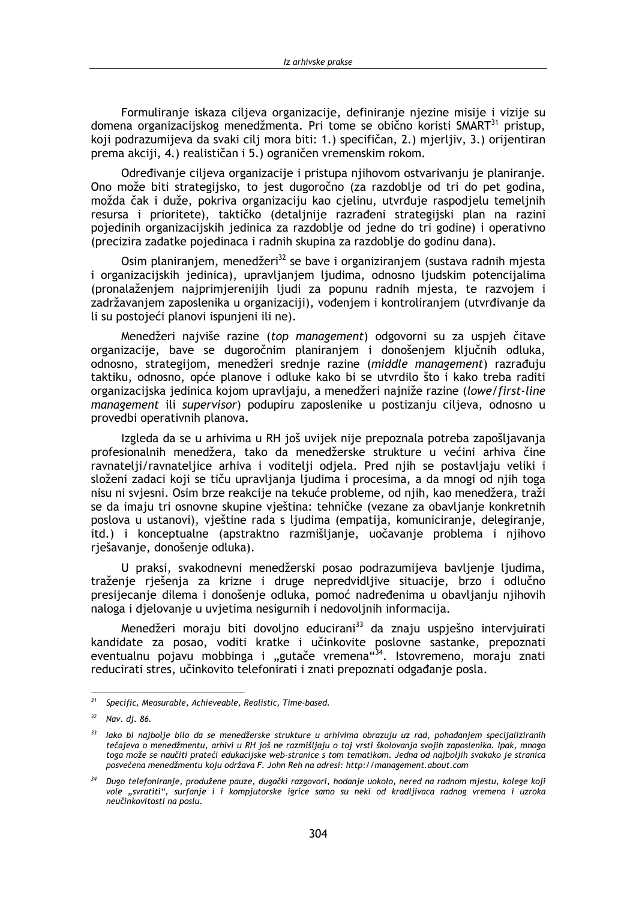Formuliranie iskaza cilieva organizaciie, definiranie niezine misije i vizije su domena organizacijskog menedžmenta. Pri tome se obično koristi SMART<sup>31</sup> pristup. koji podrazumijeva da svaki cili mora biti: 1.) specifičan, 2.) mierlijy, 3.) orijentiran prema akciji, 4.) realističan i 5.) ograničen vremenskim rokom.

Određivanje cilieva organizacije i pristupa nijhovom ostvarivanju je planiranje. Ono može biti strategijsko, to jest dugoročno (za razdoblje od tri do pet godina, možda čak i duže, pokriva organizaciju kao cjelinu, utvrđuje raspodjelu temeljnih resursa i prioritete), taktičko (detaljnije razrađeni strategijski plan na razini pojedinih organizacijskih jedinica za razdoblje od jedne do tri godine) i operativno (precizira zadatke pojedinaca i radnih skupina za razdoblje do godinu dana).

Osim planiranjem, menedžeri<sup>32</sup> se bave i organiziranjem (sustava radnih mjesta i organizacijskih jedinica), upravljanjem ljudima, odnosno ljudskim potencijalima (pronalaženjem najprimjerenijih ljudi za popunu radnih mjesta, te razvojem i zadržavanjem zaposlenika u organizaciji), vođenjem i kontroliranjem (utvrđivanje da li su postojeći planovi ispunjeni ili ne).

Menedžeri najviše razine (top management) odgovorni su za uspjeh čitave organizacije, bave se dugoročnim planiranjem i donošenjem ključnih odluka, odnosno, strategijom, menedžeri srednje razine (middle management) razrađuju taktiku, odnosno, opće planove i odluke kako bi se utvrdilo što i kako treba raditi organizacijska jedinica kojom upravljaju, a menedžeri najniže razine (lowe/first-line management ili supervisor) podupiru zaposlenike u postizanju ciljeva, odnosno u provedbi operativnih planova.

Izgleda da se u arhivima u RH još uvijek nije prepoznala potreba zapošljavanja profesionalnih menedžera, tako da menedžerske strukture u većini arhiva čine ravnatelii/ravnateliice arhiva i voditelii odiela. Pred niih se postavliaju veliki i složeni zadaci koji se tiču upravljanja ljudima i procesima, a da mnogi od njih toga nisu ni svjesni. Osim brze reakcije na tekuće probleme, od njih, kao menedžera, traži se da imaju tri osnovne skupine vještina: tehničke (vezane za obavljanje konkretnih poslova u ustanovi), vještine rada s ljudima (empatija, komuniciranje, delegiranje, itd.) i konceptualne (apstraktno razmišlianje, uočavanje problema i njihovo rješavanje, donošenje odluka).

U praksi, svakodnevni menedžerski posao podrazumijeva bavljenje ljudima, traženie riešenia za krizne i druge nepredvidlijve situacije, brzo i odlučno presijecanje dilema i donošenje odluka, pomoć nadređenima u obavljanju njihovih naloga i djelovanje u uvjetima nesigurnih i nedovoljnih informacija.

Menedžeri moraju biti dovoljno educirani<sup>33</sup> da znaju uspješno intervjuirati kandidate za posao, voditi kratke i učinkovite poslovne sastanke, prepoznati eventualnu pojavu mobbinga i "gutače vremena"<sup>34</sup>. Istovremeno, moraju znati reducirati stres, učinkovito telefonirati i znati prepoznati odgađanje posla.

 $31$ Specific, Measurable, Achieveable, Realistic, Time-based.

<sup>&</sup>lt;sup>32</sup> Nav. dj. 86.

<sup>33</sup> lako bi najbolje bilo da se menedžerske strukture u arhivima obrazuju uz rad, pohađanjem specijaliziranih tečajeva o menedžmentu, arhivi u RH još ne razmišljaju o toj vrsti školovanja svojih zaposlenika. Ipak, mnogo toga može se naučiti prateći edukacijske web-stranice s tom tematikom. Jedna od najboljih svakako je stranica posvećena menedžmentu koju održava F. John Reh na adresi: http://management.about.com

 $34$ Dugo telefoniranje, produžene pauze, dugački razgovori, hodanje uokolo, nered na radnom mjestu, kolege koji vole "svratiti", surfanje i i kompjutorske igrice samo su neki od kradljivaca radnog vremena i uzroka neučinkovitosti na poslu.